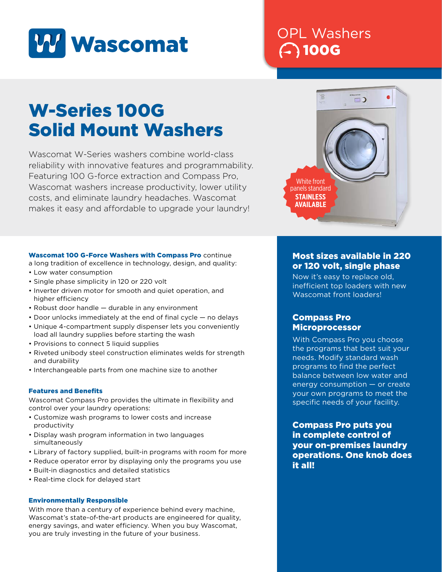

# OPL Washers 100G

# W-Series 100G Solid Mount Washers

Wascomat W-Series washers combine world-class reliability with innovative features and programmability. Featuring 100 G-force extraction and Compass Pro, Wascomat washers increase productivity, lower utility costs, and eliminate laundry headaches. Wascomat makes it easy and affordable to upgrade your laundry!



### Wascomat 100 G-Force Washers with Compass Pro continue

a long tradition of excellence in technology, design, and quality:

- Low water consumption
- Single phase simplicity in 120 or 220 volt
- Inverter driven motor for smooth and quiet operation, and higher efficiency
- Robust door handle durable in any environment
- Door unlocks immediately at the end of final cycle no delays
- Unique 4-compartment supply dispenser lets you conveniently load all laundry supplies before starting the wash
- Provisions to connect 5 liquid supplies
- Riveted unibody steel construction eliminates welds for strength and durability
- Interchangeable parts from one machine size to another

#### Features and Benefits

Wascomat Compass Pro provides the ultimate in flexibility and control over your laundry operations:

- Customize wash programs to lower costs and increase productivity
- Display wash program information in two languages simultaneously
- Library of factory supplied, built-in programs with room for more
- Reduce operator error by displaying only the programs you use
- Built-in diagnostics and detailed statistics
- Real-time clock for delayed start

#### Environmentally Responsible

With more than a century of experience behind every machine, Wascomat's state-of-the-art products are engineered for quality, energy savings, and water efficiency. When you buy Wascomat, you are truly investing in the future of your business.

# Most sizes available in 220 or 120 volt, single phase

Now it's easy to replace old, inefficient top loaders with new Wascomat front loaders!

### Compass Pro Microprocessor

With Compass Pro you choose the programs that best suit your needs. Modify standard wash programs to find the perfect balance between low water and energy consumption — or create your own programs to meet the specific needs of your facility.

Compass Pro puts you in complete control of your on-premises laundry operations. One knob does it all!